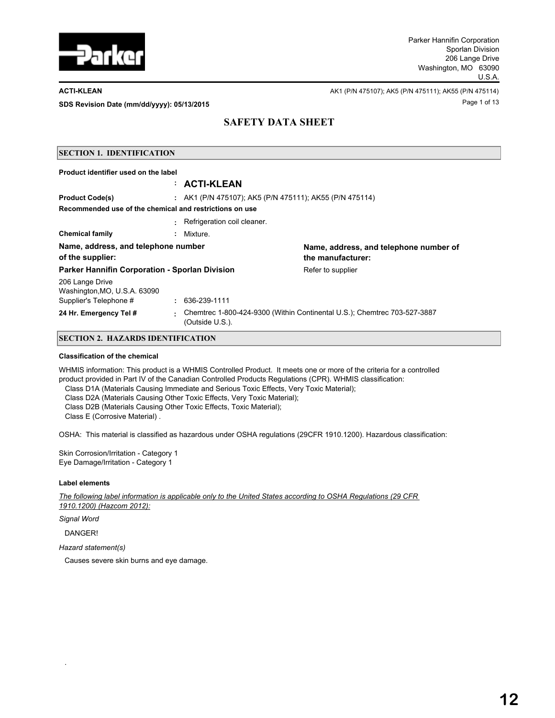

Page 1 of 13 **SDS Revision Date (mm/dd/yyyy): 05/13/2015**

**ACTI-KLEAN AREAN** AK1 (P/N 475107); AK5 (P/N 475111); AK55 (P/N 475114)

## **SAFETY DATA SHEET**

## **SECTION 1. IDENTIFICATION Product identifier used on the label : ACTI-KLEAN Product Code(s) :** AK1 (P/N 475107); AK5 (P/N 475111); AK55 (P/N 475114) **:** Refrigeration coil cleaner. **Recommended use of the chemical and restrictions on use Chemical family :** Mixture. **Name, address, and telephone number of the supplier: Name, address, and telephone number of the manufacturer: Parker Hannifin Corporation - Sporlan Division Factor Refer to supplier** 206 Lange Drive Washington,MO, U.S.A. 63090 Supplier's Telephone # **:** 636-239-1111 **24 Hr. Emergency Tel # :** Chemtrec 1-800-424-9300 (Within Continental U.S.); Chemtrec 703-527-3887 (Outside U.S.).

## **SECTION 2. HAZARDS IDENTIFICATION**

#### **Classification of the chemical**

WHMIS information: This product is a WHMIS Controlled Product. It meets one or more of the criteria for a controlled product provided in Part IV of the Canadian Controlled Products Regulations (CPR). WHMIS classification:

- Class D1A (Materials Causing Immediate and Serious Toxic Effects, Very Toxic Material);
- Class D2A (Materials Causing Other Toxic Effects, Very Toxic Material);
- Class D2B (Materials Causing Other Toxic Effects, Toxic Material);

Class E (Corrosive Material) .

OSHA: This material is classified as hazardous under OSHA regulations (29CFR 1910.1200). Hazardous classification:

Skin Corrosion/Irritation - Category 1 Eye Damage/Irritation - Category 1

#### **Label elements**

*The following label information is applicable only to the United States according to OSHA Regulations (29 CFR 1910.1200) (Hazcom 2012):*

*Signal Word*

DANGER!

.

*Hazard statement(s)*

Causes severe skin burns and eye damage.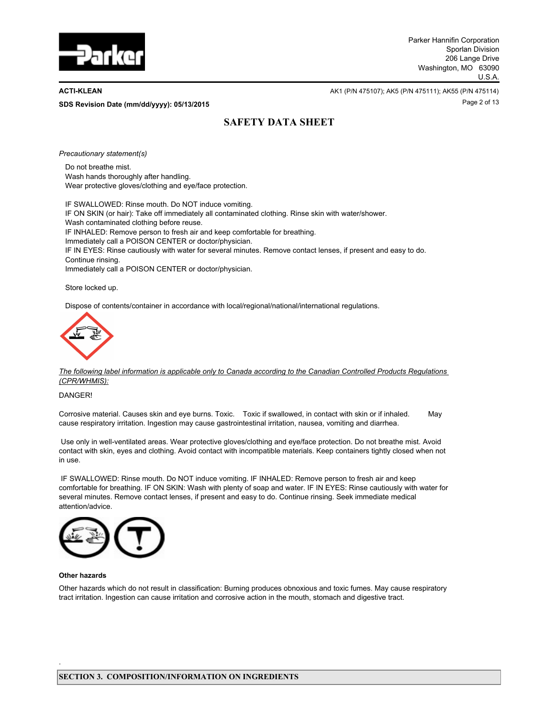

Page 2 of 13 **SDS Revision Date (mm/dd/yyyy): 05/13/2015**

**ACTI-KLEAN** AK1 (P/N 475107); AK5 (P/N 475111); AK55 (P/N 475111); AK55 (P/N 475114)

# **SAFETY DATA SHEET**

*Precautionary statement(s)*

Do not breathe mist. Wash hands thoroughly after handling. Wear protective gloves/clothing and eye/face protection.

IF SWALLOWED: Rinse mouth. Do NOT induce vomiting. IF ON SKIN (or hair): Take off immediately all contaminated clothing. Rinse skin with water/shower. Wash contaminated clothing before reuse. IF INHALED: Remove person to fresh air and keep comfortable for breathing. Immediately call a POISON CENTER or doctor/physician. IF IN EYES: Rinse cautiously with water for several minutes. Remove contact lenses, if present and easy to do. Continue rinsing. Immediately call a POISON CENTER or doctor/physician.

Store locked up.

Dispose of contents/container in accordance with local/regional/national/international regulations.



*The following label information is applicable only to Canada according to the Canadian Controlled Products Regulations (CPR/WHMIS):*

DANGER!

Corrosive material. Causes skin and eye burns. Toxic. Toxic if swallowed, in contact with skin or if inhaled. May cause respiratory irritation. Ingestion may cause gastrointestinal irritation, nausea, vomiting and diarrhea.

 Use only in well-ventilated areas. Wear protective gloves/clothing and eye/face protection. Do not breathe mist. Avoid contact with skin, eyes and clothing. Avoid contact with incompatible materials. Keep containers tightly closed when not in use.

 IF SWALLOWED: Rinse mouth. Do NOT induce vomiting. IF INHALED: Remove person to fresh air and keep comfortable for breathing. IF ON SKIN: Wash with plenty of soap and water. IF IN EYES: Rinse cautiously with water for several minutes. Remove contact lenses, if present and easy to do. Continue rinsing. Seek immediate medical attention/advice.



#### **Other hazards**

.

Other hazards which do not result in classification: Burning produces obnoxious and toxic fumes. May cause respiratory tract irritation. Ingestion can cause irritation and corrosive action in the mouth, stomach and digestive tract.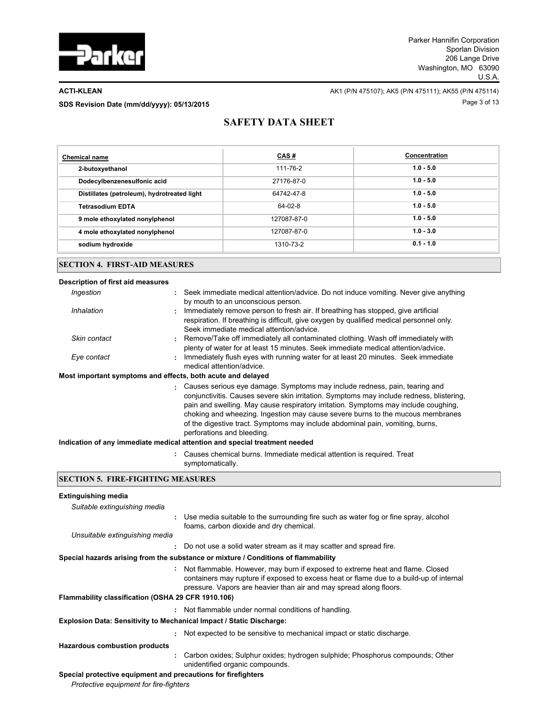

**ACTI-KLEAN** AK1 (P/N 475107); AK5 (P/N 475111); AK55 (P/N 475114) SDS Revision Date (mm/dd/yyyy): 05/13/2015

## **SAFETY DATA SHEET**

| <b>Chemical name</b>                        | CAS#           | Concentration |
|---------------------------------------------|----------------|---------------|
| 2-butoxyethanol                             | $111 - 76 - 2$ | $1.0 - 5.0$   |
| Dodecylbenzenesulfonic acid                 | 27176-87-0     | $1.0 - 5.0$   |
| Distillates (petroleum), hydrotreated light | 64742-47-8     | $1.0 - 5.0$   |
| <b>Tetrasodium EDTA</b>                     | $64 - 02 - 8$  | $1.0 - 5.0$   |
| 9 mole ethoxylated nonylphenol              | 127087-87-0    | $1.0 - 5.0$   |
| 4 mole ethoxylated nonylphenol              | 127087-87-0    | $1.0 - 3.0$   |
| sodium hydroxide                            | 1310-73-2      | $0.1 - 1.0$   |
|                                             |                |               |

## **SECTION 4. FIRST-AID MEASURES**

| Description of first aid measures        |                                                                                                                                                                                                                                                                                                                                                                                                                                                                  |  |  |  |
|------------------------------------------|------------------------------------------------------------------------------------------------------------------------------------------------------------------------------------------------------------------------------------------------------------------------------------------------------------------------------------------------------------------------------------------------------------------------------------------------------------------|--|--|--|
| Ingestion                                | : Seek immediate medical attention/advice. Do not induce vomiting. Never give anything<br>by mouth to an unconscious person.                                                                                                                                                                                                                                                                                                                                     |  |  |  |
| Inhalation                               | : Immediately remove person to fresh air. If breathing has stopped, give artificial<br>respiration. If breathing is difficult, give oxygen by qualified medical personnel only.<br>Seek immediate medical attention/advice                                                                                                                                                                                                                                       |  |  |  |
| Skin contact                             | : Remove/Take off immediately all contaminated clothing. Wash off immediately with<br>plenty of water for at least 15 minutes. Seek immediate medical attention/advice.                                                                                                                                                                                                                                                                                          |  |  |  |
| Eye contact                              | : Immediately flush eyes with running water for at least 20 minutes. Seek immediate<br>medical attention/advice                                                                                                                                                                                                                                                                                                                                                  |  |  |  |
|                                          | Most important symptoms and effects, both acute and delayed                                                                                                                                                                                                                                                                                                                                                                                                      |  |  |  |
|                                          | : Causes serious eye damage. Symptoms may include redness, pain, tearing and<br>conjunctivitis. Causes severe skin irritation. Symptoms may include redness, blistering,<br>pain and swelling. May cause respiratory irritation. Symptoms may include coughing,<br>choking and wheezing. Ingestion may cause severe burns to the mucous membranes<br>of the digestive tract. Symptoms may include abdominal pain, vomiting, burns,<br>perforations and bleeding. |  |  |  |
|                                          | Indication of any immediate medical attention and special treatment needed                                                                                                                                                                                                                                                                                                                                                                                       |  |  |  |
|                                          | : Causes chemical burns. Immediate medical attention is required. Treat<br>symptomatically.                                                                                                                                                                                                                                                                                                                                                                      |  |  |  |
| <b>SECTION 5. FIRE-FIGHTING MEASURES</b> |                                                                                                                                                                                                                                                                                                                                                                                                                                                                  |  |  |  |
| <b>Extinguishing media</b>               |                                                                                                                                                                                                                                                                                                                                                                                                                                                                  |  |  |  |

| Suitable extinguishing media                                                |                                                                                                                                                                                                                                                  |
|-----------------------------------------------------------------------------|--------------------------------------------------------------------------------------------------------------------------------------------------------------------------------------------------------------------------------------------------|
| ÷.                                                                          | Use media suitable to the surrounding fire such as water fog or fine spray, alcohol<br>foams, carbon dioxide and dry chemical.                                                                                                                   |
| Unsuitable extinguishing media                                              |                                                                                                                                                                                                                                                  |
|                                                                             | : Do not use a solid water stream as it may scatter and spread fire.                                                                                                                                                                             |
|                                                                             | Special hazards arising from the substance or mixture / Conditions of flammability                                                                                                                                                               |
| Flammability classification (OSHA 29 CFR 1910.106)                          | : Not flammable. However, may burn if exposed to extreme heat and flame. Closed<br>containers may rupture if exposed to excess heat or flame due to a build-up of internal<br>pressure. Vapors are heavier than air and may spread along floors. |
|                                                                             |                                                                                                                                                                                                                                                  |
|                                                                             | : Not flammable under normal conditions of handling.                                                                                                                                                                                             |
| <b>Explosion Data: Sensitivity to Mechanical Impact / Static Discharge:</b> |                                                                                                                                                                                                                                                  |
|                                                                             | : Not expected to be sensitive to mechanical impact or static discharge.                                                                                                                                                                         |
| <b>Hazardous combustion products</b>                                        |                                                                                                                                                                                                                                                  |
| ÷.                                                                          | Carbon oxides; Sulphur oxides; hydrogen sulphide; Phosphorus compounds; Other<br>unidentified organic compounds.                                                                                                                                 |
| Special protective equipment and precautions for firefighters               |                                                                                                                                                                                                                                                  |

*Protective equipment for fire-fighters*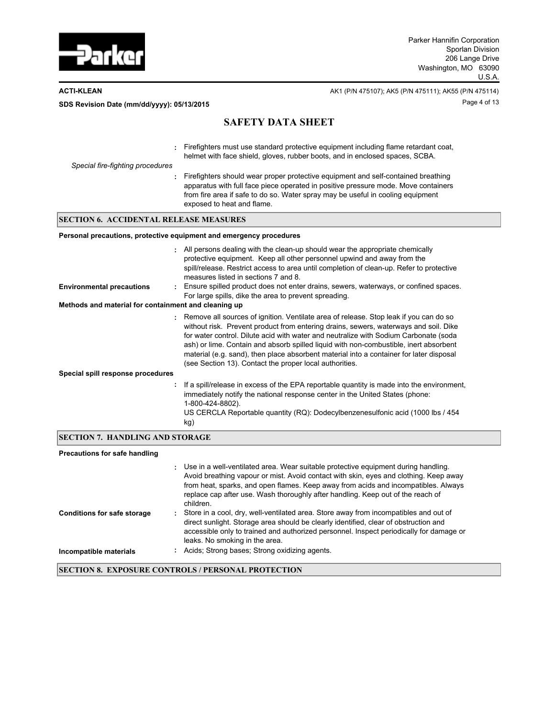

**ACTI-KLEAN** AK1 (P/N 475107); AK5 (P/N 475111); AK55 (P/N 475114) Page 4 of 13 **SDS Revision Date (mm/dd/yyyy): 05/13/2015**

# **SAFETY DATA SHEET**

| Special fire-fighting procedures | : Firefighters must use standard protective equipment including flame retardant coat,<br>helmet with face shield, gloves, rubber boots, and in enclosed spaces, SCBA.                                                                                                                    |
|----------------------------------|------------------------------------------------------------------------------------------------------------------------------------------------------------------------------------------------------------------------------------------------------------------------------------------|
|                                  | Firefighters should wear proper protective equipment and self-contained breathing<br>apparatus with full face piece operated in positive pressure mode. Move containers<br>from fire area if safe to do so. Water spray may be useful in cooling equipment<br>exposed to heat and flame. |

## **SECTION 6. ACCIDENTAL RELEASE MEASURES**

### **Personal precautions, protective equipment and emergency procedures**

| <b>Environmental precautions</b><br>Methods and material for containment and cleaning up |     | : All persons dealing with the clean-up should wear the appropriate chemically<br>protective equipment. Keep all other personnel upwind and away from the<br>spill/release. Restrict access to area until completion of clean-up. Refer to protective<br>measures listed in sections 7 and 8.<br>: Ensure spilled product does not enter drains, sewers, waterways, or confined spaces.<br>For large spills, dike the area to prevent spreading.                                                                       |
|------------------------------------------------------------------------------------------|-----|------------------------------------------------------------------------------------------------------------------------------------------------------------------------------------------------------------------------------------------------------------------------------------------------------------------------------------------------------------------------------------------------------------------------------------------------------------------------------------------------------------------------|
|                                                                                          |     |                                                                                                                                                                                                                                                                                                                                                                                                                                                                                                                        |
|                                                                                          |     | : Remove all sources of ignition. Ventilate area of release. Stop leak if you can do so<br>without risk. Prevent product from entering drains, sewers, waterways and soil. Dike<br>for water control. Dilute acid with water and neutralize with Sodium Carbonate (soda<br>ash) or lime. Contain and absorb spilled liquid with non-combustible, inert absorbent<br>material (e.g. sand), then place absorbent material into a container for later disposal<br>(see Section 13). Contact the proper local authorities. |
| Special spill response procedures                                                        |     |                                                                                                                                                                                                                                                                                                                                                                                                                                                                                                                        |
|                                                                                          | kg) | : If a spill/release in excess of the EPA reportable quantity is made into the environment,<br>immediately notify the national response center in the United States (phone:<br>1-800-424-8802).<br>US CERCLA Reportable quantity (RQ): Dodecylbenzenesulfonic acid (1000 lbs / 454                                                                                                                                                                                                                                     |

## **SECTION 7. HANDLING AND STORAGE**

### **Precautions for safe handling**

|                                    | Use in a well-ventilated area. Wear suitable protective equipment during handling.<br>Avoid breathing vapour or mist. Avoid contact with skin, eyes and clothing. Keep away<br>from heat, sparks, and open flames. Keep away from acids and incompatibles. Always<br>replace cap after use. Wash thoroughly after handling. Keep out of the reach of<br>children. |
|------------------------------------|-------------------------------------------------------------------------------------------------------------------------------------------------------------------------------------------------------------------------------------------------------------------------------------------------------------------------------------------------------------------|
| <b>Conditions for safe storage</b> | Store in a cool, dry, well-ventilated area. Store away from incompatibles and out of<br>direct sunlight. Storage area should be clearly identified, clear of obstruction and<br>accessible only to trained and authorized personnel. Inspect periodically for damage or<br>leaks. No smoking in the area.                                                         |
| Incompatible materials             | Acids: Strong bases: Strong oxidizing agents.                                                                                                                                                                                                                                                                                                                     |

### **SECTION 8. EXPOSURE CONTROLS / PERSONAL PROTECTION**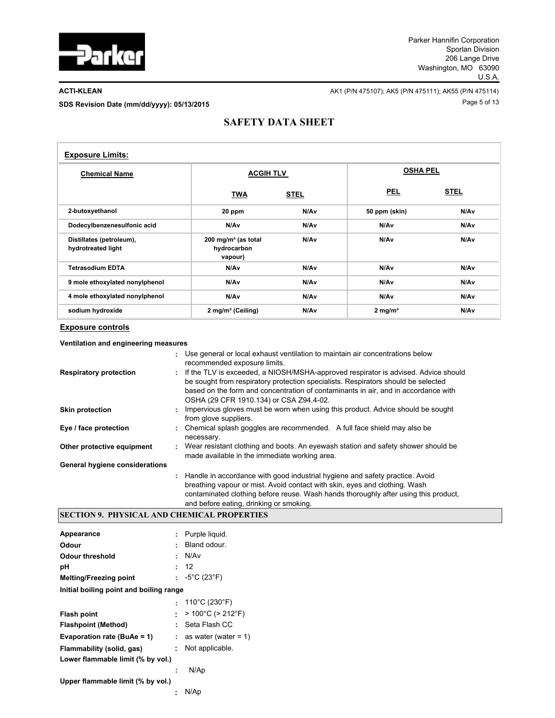

**ACTI-KLEAN** AK1 (P/N 475107); AK5 (P/N 475111); AK55 (P/N 475114) Page 5 of 13 **SDS Revision Date (mm/dd/yyyy): 05/13/2015**

## **SAFETY DATA SHEET**

| <b>Exposure Limits:</b>                        |                                                  |             |                    |             |  |
|------------------------------------------------|--------------------------------------------------|-------------|--------------------|-------------|--|
| <b>Chemical Name</b>                           | <b>ACGIH TLV</b>                                 |             | <b>OSHA PEL</b>    |             |  |
|                                                | <b>TWA</b>                                       | <b>STEL</b> | <b>PEL</b>         | <b>STEL</b> |  |
| 2-butoxyethanol                                | 20 ppm                                           | N/Av        | 50 ppm (skin)      | N/Av        |  |
| Dodecylbenzenesulfonic acid                    | N/Av                                             | N/Av        | N/Av               | N/Av        |  |
| Distillates (petroleum),<br>hydrotreated light | 200 mg/m $3$ (as total<br>hydrocarbon<br>vapour) | N/Av        | N/Av               | N/Av        |  |
| <b>Tetrasodium EDTA</b>                        | N/Av                                             | N/Av        | N/Av               | N/Av        |  |
| 9 mole ethoxylated nonylphenol                 | N/Av                                             | N/Av        | N/Av               | N/Av        |  |
| 4 mole ethoxylated nonylphenol                 | N/Av                                             | N/Av        | N/Av               | N/Av        |  |
| sodium hydroxide                               | 2 mg/m <sup>3</sup> (Ceiling)                    | N/Av        | $2 \text{ mg/m}^3$ | N/Av        |  |

### **Exposure controls**

| <b>Respiratory protection</b>  | Use general or local exhaust ventilation to maintain air concentrations below<br>recommended exposure limits.<br>: If the TLV is exceeded, a NIOSH/MSHA-approved respirator is advised. Advice should<br>be sought from respiratory protection specialists. Respirators should be selected<br>based on the form and concentration of contaminants in air, and in accordance with<br>OSHA (29 CFR 1910.134) or CSA Z94.4-02. |
|--------------------------------|-----------------------------------------------------------------------------------------------------------------------------------------------------------------------------------------------------------------------------------------------------------------------------------------------------------------------------------------------------------------------------------------------------------------------------|
| <b>Skin protection</b>         | Impervious gloves must be worn when using this product. Advice should be sought<br>from glove suppliers.                                                                                                                                                                                                                                                                                                                    |
| Eye / face protection          | : Chemical splash goggles are recommended. A full face shield may also be<br>necessary.                                                                                                                                                                                                                                                                                                                                     |
| Other protective equipment     | : Wear resistant clothing and boots. An eyewash station and safety shower should be<br>made available in the immediate working area.                                                                                                                                                                                                                                                                                        |
| General hygiene considerations |                                                                                                                                                                                                                                                                                                                                                                                                                             |
|                                | : Handle in accordance with good industrial hygiene and safety practice. Avoid<br>breathing vapour or mist. Avoid contact with skin, eyes and clothing. Wash<br>contaminated clothing before reuse. Wash hands thoroughly after using this product,<br>and before eating, drinking or smoking.                                                                                                                              |

## **SECTION 9. PHYSICAL AND CHEMICAL PROPERTIES**

| Appearance                              |    | Purple liquid.                       |
|-----------------------------------------|----|--------------------------------------|
| Odour                                   |    | Bland odour.                         |
| Odour threshold                         | ۰. | N/Av                                 |
| рH                                      | ٠  | 12                                   |
| <b>Melting/Freezing point</b>           |    | : $-5^{\circ}$ C (23 $^{\circ}$ F)   |
| Initial boiling point and boiling range |    |                                      |
|                                         |    | : 110°C (230°F)                      |
| <b>Flash point</b>                      |    | $>100^{\circ}$ C ( $>212^{\circ}$ F) |
| Flashpoint (Method)                     | ٠  | Seta Flash CC                        |
| Evaporation rate (BuAe = $1$ )          | ÷. | as water (water = $1$ )              |
| Flammability (solid, gas)               | ÷. | Not applicable.                      |
| Lower flammable limit (% by vol.)       |    |                                      |
|                                         |    | N/Ap                                 |
| Upper flammable limit (% by vol.)       |    |                                      |
|                                         | ÷  | N/Ap                                 |
|                                         |    |                                      |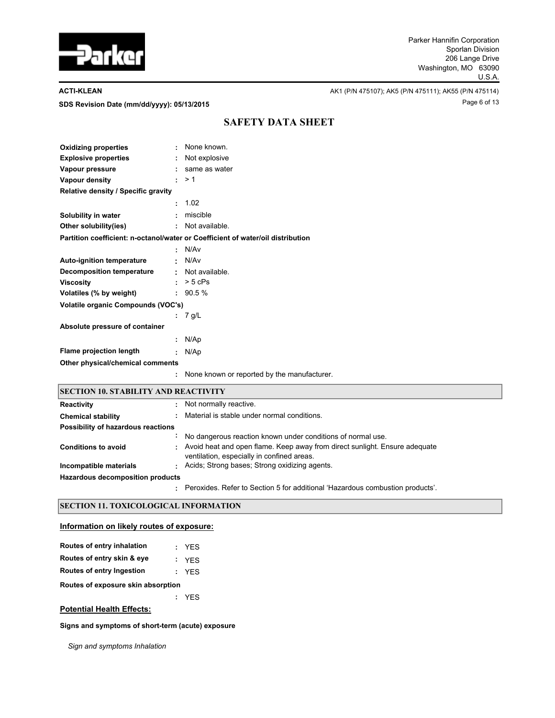

SDS Revision Date (mm/dd/yyyy): 05/13/2015

**ACTI-KLEAN AK1** (P/N 475107); AK5 (P/N 475111); AK55 (P/N 475114)

## **SAFETY DATA SHEET**

| <b>Oxidizing properties</b>         | ÷            | None known.                                                                     |
|-------------------------------------|--------------|---------------------------------------------------------------------------------|
| <b>Explosive properties</b>         | $\mathbf{L}$ | Not explosive                                                                   |
| Vapour pressure                     | t.           | same as water                                                                   |
| Vapour density                      | ÷.           | >1                                                                              |
| Relative density / Specific gravity |              |                                                                                 |
|                                     | ÷            | 1.02                                                                            |
| Solubility in water                 | ÷            | miscible                                                                        |
| Other solubility(ies)               |              | : Not available.                                                                |
|                                     |              | Partition coefficient: n-octanol/water or Coefficient of water/oil distribution |
|                                     | ÷            | N/Av                                                                            |
| <b>Auto-ignition temperature</b>    |              | : N/Av                                                                          |
| <b>Decomposition temperature</b>    |              | : Not available.                                                                |
| <b>Viscosity</b>                    | $\mathbf{L}$ | $> 5$ cPs                                                                       |
| Volatiles (% by weight)             |              | :90.5%                                                                          |
| Volatile organic Compounds (VOC's)  |              |                                                                                 |
|                                     |              | 7 g/L                                                                           |
| Absolute pressure of container      |              |                                                                                 |
|                                     | ÷            | N/Ap                                                                            |
| Flame projection length             | ÷            | N/Ap                                                                            |
| Other physical/chemical comments    |              |                                                                                 |
|                                     | ÷            | None known or reported by the manufacturer.                                     |
|                                     |              |                                                                                 |

## **SECTION 10. STABILITY AND REACTIVITY**

| Reactivity                         |  | Not normally reactive.                                                                                                     |
|------------------------------------|--|----------------------------------------------------------------------------------------------------------------------------|
| <b>Chemical stability</b>          |  | Material is stable under normal conditions.                                                                                |
| Possibility of hazardous reactions |  |                                                                                                                            |
|                                    |  | No dangerous reaction known under conditions of normal use.                                                                |
| <b>Conditions to avoid</b>         |  | : Avoid heat and open flame. Keep away from direct sunlight. Ensure adequate<br>ventilation, especially in confined areas. |
| Incompatible materials             |  | Acids; Strong bases; Strong oxidizing agents.                                                                              |
| Hazardous decomposition products   |  |                                                                                                                            |
|                                    |  | Peroxides. Refer to Section 5 for additional 'Hazardous combustion products'.                                              |

## **SECTION 11. TOXICOLOGICAL INFORMATION**

### **Information on likely routes of exposure:**

| Routes of entry inhalation         |  | : YES |  |  |  |  |  |
|------------------------------------|--|-------|--|--|--|--|--|
| Routes of entry skin & eye         |  | : YES |  |  |  |  |  |
| Routes of entry Ingestion          |  | : YES |  |  |  |  |  |
| Routes of exposure skin absorption |  |       |  |  |  |  |  |
|                                    |  | : YFS |  |  |  |  |  |
|                                    |  |       |  |  |  |  |  |

## **Potential Health Effects:**

**Signs and symptoms of short-term (acute) exposure** 

*Sign and symptoms Inhalation*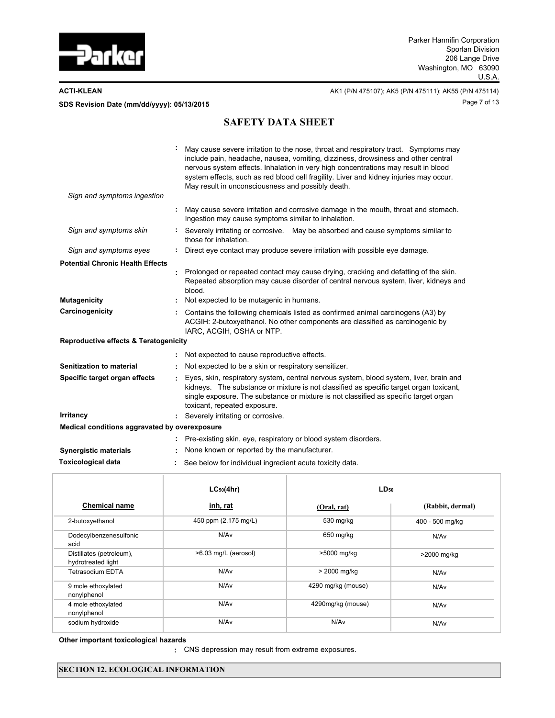

**ACTI-KLEAN** AK1 (P/N 475107); AK5 (P/N 475111); AK55 (P/N 475114) Page 7 of 13 **SDS Revision Date (mm/dd/yyyy): 05/13/2015**

# **SAFETY DATA SHEET**

|                                                  | May cause severe irritation to the nose, throat and respiratory tract. Symptoms may<br>include pain, headache, nausea, vomiting, dizziness, drowsiness and other central<br>nervous system effects. Inhalation in very high concentrations may result in blood<br>system effects, such as red blood cell fragility. Liver and kidney injuries may occur.<br>May result in unconsciousness and possibly death. |
|--------------------------------------------------|---------------------------------------------------------------------------------------------------------------------------------------------------------------------------------------------------------------------------------------------------------------------------------------------------------------------------------------------------------------------------------------------------------------|
| Sign and symptoms ingestion                      |                                                                                                                                                                                                                                                                                                                                                                                                               |
|                                                  | May cause severe irritation and corrosive damage in the mouth, throat and stomach.<br>Ingestion may cause symptoms similar to inhalation.                                                                                                                                                                                                                                                                     |
| Sign and symptoms skin                           | Severely irritating or corrosive. May be absorbed and cause symptoms similar to<br>those for inhalation.                                                                                                                                                                                                                                                                                                      |
| Sign and symptoms eyes                           | Direct eye contact may produce severe irritation with possible eye damage.                                                                                                                                                                                                                                                                                                                                    |
| <b>Potential Chronic Health Effects</b>          |                                                                                                                                                                                                                                                                                                                                                                                                               |
|                                                  | Prolonged or repeated contact may cause drying, cracking and defatting of the skin.<br>Repeated absorption may cause disorder of central nervous system, liver, kidneys and<br>blood.                                                                                                                                                                                                                         |
| <b>Mutagenicity</b>                              | Not expected to be mutagenic in humans.                                                                                                                                                                                                                                                                                                                                                                       |
| Carcinogenicity                                  | Contains the following chemicals listed as confirmed animal carcinogens (A3) by<br>ACGIH: 2-butoxyethanol. No other components are classified as carcinogenic by<br>IARC, ACGIH, OSHA or NTP.                                                                                                                                                                                                                 |
| <b>Reproductive effects &amp; Teratogenicity</b> |                                                                                                                                                                                                                                                                                                                                                                                                               |
|                                                  | Not expected to cause reproductive effects.                                                                                                                                                                                                                                                                                                                                                                   |
| Senitization to material                         | Not expected to be a skin or respiratory sensitizer.                                                                                                                                                                                                                                                                                                                                                          |
| Specific target organ effects                    | Eyes, skin, respiratory system, central nervous system, blood system, liver, brain and<br>kidneys. The substance or mixture is not classified as specific target organ toxicant,<br>single exposure. The substance or mixture is not classified as specific target organ<br>toxicant, repeated exposure.                                                                                                      |
| <b>Irritancy</b>                                 | Severely irritating or corrosive.                                                                                                                                                                                                                                                                                                                                                                             |
| Medical conditions aggravated by overexposure    |                                                                                                                                                                                                                                                                                                                                                                                                               |
|                                                  | Pre-existing skin, eye, respiratory or blood system disorders.                                                                                                                                                                                                                                                                                                                                                |
| <b>Synergistic materials</b>                     | None known or reported by the manufacturer.                                                                                                                                                                                                                                                                                                                                                                   |
| Toxicological data                               | See below for individual ingredient acute toxicity data.                                                                                                                                                                                                                                                                                                                                                      |

|                                                | $LC_{50}(4hr)$       | $LD_{50}$          |                  |
|------------------------------------------------|----------------------|--------------------|------------------|
| <b>Chemical name</b>                           | inh, rat             | (Oral, rat)        | (Rabbit, dermal) |
| 2-butoxyethanol                                | 450 ppm (2.175 mg/L) | 530 mg/kg          | 400 - 500 mg/kg  |
| Dodecylbenzenesulfonic<br>acid                 | N/A <sub>v</sub>     | 650 mg/kg          | N/A <sub>v</sub> |
| Distillates (petroleum),<br>hydrotreated light | >6.03 mg/L (aerosol) | >5000 mg/kg        | >2000 mg/kg      |
| <b>Tetrasodium EDTA</b>                        | N/A <sub>v</sub>     | > 2000 mg/kg       | N/A <sub>v</sub> |
| 9 mole ethoxylated<br>nonylphenol              | N/A <sub>v</sub>     | 4290 mg/kg (mouse) | N/A <sub>v</sub> |
| 4 mole ethoxylated<br>nonylphenol              | N/A <sub>v</sub>     | 4290mg/kg (mouse)  | N/A <sub>v</sub> |
| sodium hydroxide                               | N/Av                 | N/Av               | N/A <sub>v</sub> |

**Other important toxicologica**l **hazards**

**:** CNS depression may result from extreme exposures.

## **SECTION 12. ECOLOGICAL INFORMATION**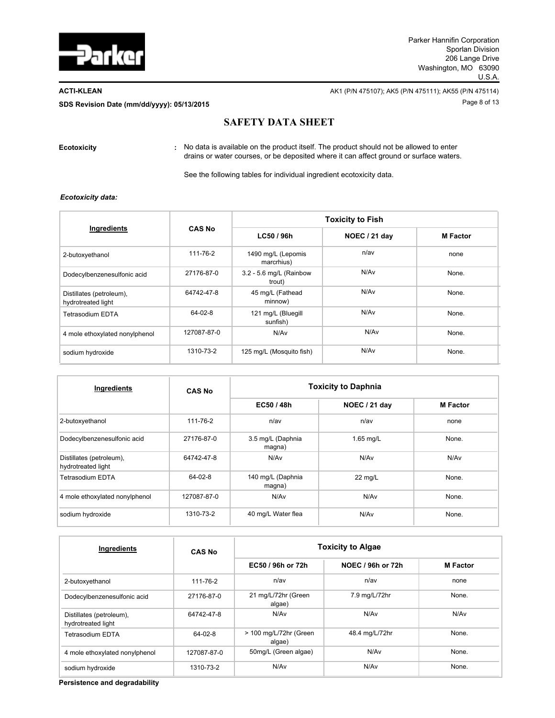

**ACTI-KLEAN AK1** (P/N 475107); AK5 (P/N 475111); AK55 (P/N 475114) Page 8 of 13 **SDS Revision Date (mm/dd/yyyy): 05/13/2015**

## **SAFETY DATA SHEET**

**Ecotoxicity :**

No data is available on the product itself. The product should not be allowed to enter drains or water courses, or be deposited where it can affect ground or surface waters.

See the following tables for individual ingredient ecotoxicity data.

### *Ecotoxicity data:*

|                                                |               | <b>Toxicity to Fish</b>           |                  |                 |  |  |
|------------------------------------------------|---------------|-----------------------------------|------------------|-----------------|--|--|
| Ingredients                                    | <b>CAS No</b> | LC50 / 96h                        | NOEC / 21 day    | <b>M</b> Factor |  |  |
| 2-butoxyethanol                                | 111-76-2      | 1490 mg/L (Lepomis<br>marcrhius)  | $n$ /av          | none            |  |  |
| Dodecylbenzenesulfonic acid                    | 27176-87-0    | 3.2 - 5.6 mg/L (Rainbow<br>trout) | N/Av             | None.           |  |  |
| Distillates (petroleum),<br>hydrotreated light | 64742-47-8    | 45 mg/L (Fathead<br>minnow)       | N/A <sub>v</sub> | None.           |  |  |
| Tetrasodium EDTA                               | $64 - 02 - 8$ | 121 mg/L (Bluegill<br>sunfish)    | N/A <sub>v</sub> | None.           |  |  |
| 4 mole ethoxylated nonylphenol                 | 127087-87-0   | N/Av                              | N/Av             | None.           |  |  |
| sodium hydroxide                               | 1310-73-2     | 125 mg/L (Mosquito fish)          | N/A <sub>v</sub> | None.           |  |  |

| Ingredients                                    | <b>CAS No</b>  | <b>Toxicity to Daphnia</b>  |                  |                  |  |  |
|------------------------------------------------|----------------|-----------------------------|------------------|------------------|--|--|
|                                                |                | EC50 / 48h                  | NOEC / 21 day    | <b>M</b> Factor  |  |  |
| 2-butoxyethanol                                | $111 - 76 - 2$ | $n$ /av                     | $n$ /av          | none             |  |  |
| Dodecylbenzenesulfonic acid                    | 27176-87-0     | 3.5 mg/L (Daphnia<br>magna) | 1.65 mg/L        | None.            |  |  |
| Distillates (petroleum),<br>hydrotreated light | 64742-47-8     | N/Av                        | N/Av             | N/A <sub>v</sub> |  |  |
| Tetrasodium EDTA                               | $64 - 02 - 8$  | 140 mg/L (Daphnia<br>magna) | 22 mg/L          | None.            |  |  |
| 4 mole ethoxylated nonylphenol                 | 127087-87-0    | N/A <sub>v</sub>            | N/A <sub>v</sub> | None.            |  |  |
| sodium hydroxide                               | 1310-73-2      | 40 mg/L Water flea          | N/Av             | None.            |  |  |

| Ingredients                                    | <b>CAS No</b> | <b>Toxicity to Algae</b>         |                   |                  |  |  |
|------------------------------------------------|---------------|----------------------------------|-------------------|------------------|--|--|
|                                                |               | EC50 / 96h or 72h                | NOEC / 96h or 72h | <b>M</b> Factor  |  |  |
| 2-butoxyethanol                                | 111-76-2      | n/av                             | n/av              | none             |  |  |
| Dodecylbenzenesulfonic acid                    | 27176-87-0    | 21 mg/L/72hr (Green<br>algae)    | 7.9 mg/L/72hr     | None.            |  |  |
| Distillates (petroleum),<br>hydrotreated light | 64742-47-8    | N/A <sub>v</sub>                 | N/A <sub>v</sub>  | N/A <sub>v</sub> |  |  |
| Tetrasodium EDTA                               | $64 - 02 - 8$ | > 100 mg/L/72hr (Green<br>algae) | 48.4 mg/L/72hr    | None.            |  |  |
| 4 mole ethoxylated nonylphenol                 | 127087-87-0   | 50mg/L (Green algae)             | N/Av              | None.            |  |  |
| sodium hydroxide                               | 1310-73-2     | N/Av                             | N/Av              | None.            |  |  |

**Persistence and degradability**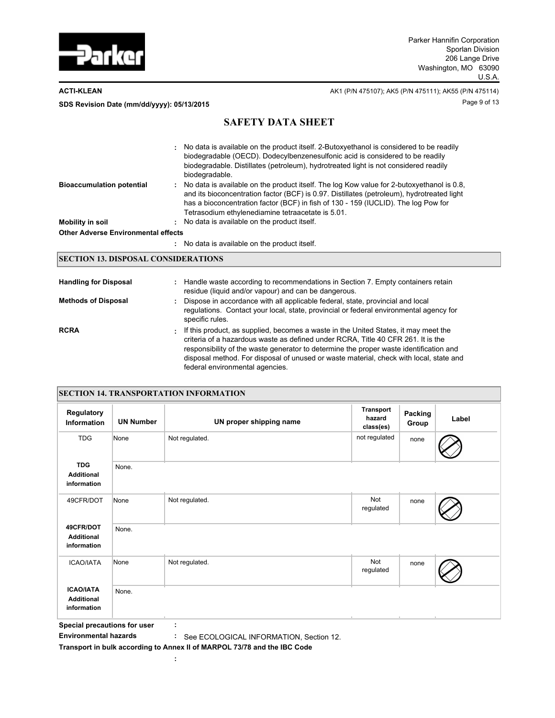

**ACTI-KLEAN** AK1 (P/N 475107); AK5 (P/N 475111); AK55 (P/N 475114) Page 9 of 13 **SDS Revision Date (mm/dd/yyyy): 05/13/2015**

## **SAFETY DATA SHEET**

|                                            | : No data is available on the product itself. 2-Butoxyethanol is considered to be readily<br>biodegradable (OECD). Dodecylbenzenesulfonic acid is considered to be readily<br>biodegradable. Distillates (petroleum), hydrotreated light is not considered readily<br>biodegradable.                                               |
|--------------------------------------------|------------------------------------------------------------------------------------------------------------------------------------------------------------------------------------------------------------------------------------------------------------------------------------------------------------------------------------|
| <b>Bioaccumulation potential</b>           | No data is available on the product itself. The log Kow value for 2-butoxyethanol is 0.8,<br>and its bioconcentration factor (BCF) is 0.97. Distillates (petroleum), hydrotreated light<br>has a bioconcentration factor (BCF) in fish of 130 - 159 (IUCLID). The log Pow for<br>Tetrasodium ethylenediamine tetraacetate is 5.01. |
| <b>Mobility in soil</b>                    | : No data is available on the product itself.                                                                                                                                                                                                                                                                                      |
| <b>Other Adverse Environmental effects</b> |                                                                                                                                                                                                                                                                                                                                    |
|                                            | No data is available on the product itself.                                                                                                                                                                                                                                                                                        |

## **SECTION 13. DISPOSAL CONSIDERATIONS**

| <b>Handling for Disposal</b> |   | : Handle waste according to recommendations in Section 7. Empty containers retain<br>residue (liquid and/or vapour) and can be dangerous.                                                                                                                                                                                                                                                      |
|------------------------------|---|------------------------------------------------------------------------------------------------------------------------------------------------------------------------------------------------------------------------------------------------------------------------------------------------------------------------------------------------------------------------------------------------|
| <b>Methods of Disposal</b>   | ÷ | Dispose in accordance with all applicable federal, state, provincial and local<br>regulations. Contact your local, state, provincial or federal environmental agency for<br>specific rules.                                                                                                                                                                                                    |
| <b>RCRA</b>                  | ÷ | If this product, as supplied, becomes a waste in the United States, it may meet the<br>criteria of a hazardous waste as defined under RCRA. Title 40 CFR 261. It is the<br>responsibility of the waste generator to determine the proper waste identification and<br>disposal method. For disposal of unused or waste material, check with local, state and<br>federal environmental agencies. |

| <b>SECTION 14. TRANSPORTATION INFORMATION</b>        |                  |                         |                                  |                  |       |  |  |  |  |
|------------------------------------------------------|------------------|-------------------------|----------------------------------|------------------|-------|--|--|--|--|
| Regulatory<br><b>Information</b>                     | <b>UN Number</b> | UN proper shipping name | Transport<br>hazard<br>class(es) | Packing<br>Group | Label |  |  |  |  |
| <b>TDG</b>                                           | None             | Not regulated.          | not regulated                    | none             |       |  |  |  |  |
| <b>TDG</b><br><b>Additional</b><br>information       | None.            |                         |                                  |                  |       |  |  |  |  |
| 49CFR/DOT                                            | None             | Not regulated.          | Not<br>regulated                 | none             |       |  |  |  |  |
| 49CFR/DOT<br><b>Additional</b><br>information        | None.            |                         |                                  |                  |       |  |  |  |  |
| <b>ICAO/IATA</b>                                     | None             | Not regulated.          | Not<br>regulated                 | none             |       |  |  |  |  |
| <b>ICAO/IATA</b><br><b>Additional</b><br>information | None.            |                         |                                  |                  |       |  |  |  |  |

**Special precautions for user :**

**Environmental hazards :** See ECOLOGICAL INFORMATION, Section 12.

**:**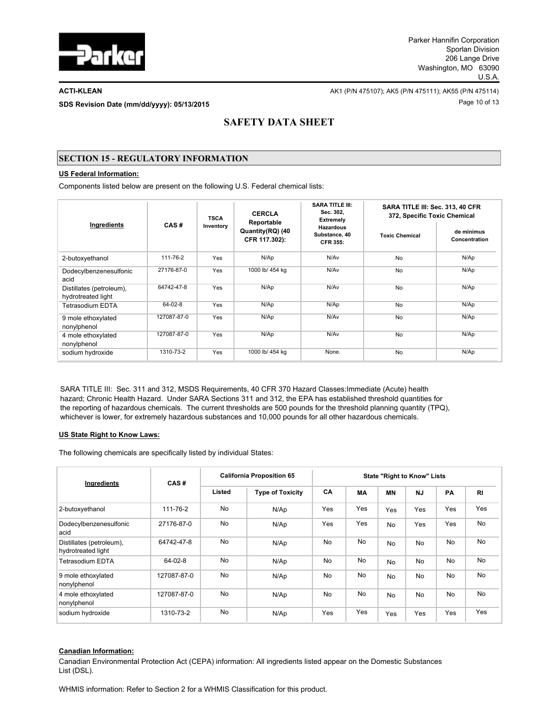

Page 10 of 13 **SDS Revision Date (mm/dd/yyyy): 05/13/2015**

**ACTI-KLEAN AK1** (P/N 475107); AK5 (P/N 475111); AK55 (P/N 475111); AK55 (P/N 475114)

# **SAFETY DATA SHEET**

## **SECTION 15 - REGULATORY INFORMATION**

### **US Federal Information:**

Components listed below are present on the following U.S. Federal chemical lists:

| Ingredients                                    |             | <b>TSCA</b> | <b>CERCLA</b><br>Reportable       | <b>SARA TITLE III:</b><br>Sec. 302,<br>Extremely     | SARA TITLE III: Sec. 313, 40 CFR<br>372, Specific Toxic Chemical |                             |  |
|------------------------------------------------|-------------|-------------|-----------------------------------|------------------------------------------------------|------------------------------------------------------------------|-----------------------------|--|
|                                                | CAS#        | Inventory   | Quantity(RQ) (40<br>CFR 117.302): | <b>Hazardous</b><br>Substance, 40<br><b>CFR 355:</b> | <b>Toxic Chemical</b>                                            | de minimus<br>Concentration |  |
| 2-butoxyethanol                                | 111-76-2    | Yes         | N/Ap                              | N/Av                                                 | <b>No</b>                                                        | N/Ap                        |  |
| Dodecylbenzenesulfonic<br>acid                 | 27176-87-0  | Yes         | 1000 lb/ 454 kg                   | N/Av                                                 | <b>No</b>                                                        | N/Ap                        |  |
| Distillates (petroleum),<br>hydrotreated light | 64742-47-8  | Yes         | N/Ap                              | N/Av                                                 | No                                                               | N/Ap                        |  |
| Tetrasodium EDTA                               | 64-02-8     | Yes         | N/Ap                              | N/Ap                                                 | <b>No</b>                                                        | N/Ap                        |  |
| 9 mole ethoxylated<br>nonylphenol              | 127087-87-0 | Yes         | N/Ap                              | N/Av                                                 | <b>No</b>                                                        | N/Ap                        |  |
| 4 mole ethoxylated<br>nonylphenol              | 127087-87-0 | Yes         | N/Ap                              | N/Av                                                 | <b>No</b>                                                        | N/Ap                        |  |
| sodium hydroxide                               | 1310-73-2   | Yes         | 1000 lb/ 454 kg                   | None.                                                | <b>No</b>                                                        | N/Ap                        |  |

SARA TITLE III: Sec. 311 and 312, MSDS Requirements, 40 CFR 370 Hazard Classes:Immediate (Acute) health hazard; Chronic Health Hazard. Under SARA Sections 311 and 312, the EPA has established threshold quantities for the reporting of hazardous chemicals. The current thresholds are 500 pounds for the threshold planning quantity (TPQ), whichever is lower, for extremely hazardous substances and 10,000 pounds for all other hazardous chemicals.

#### **US State Right to Know Laws:**

The following chemicals are specifically listed by individual States:

| Ingredients                                    | CAS#          | <b>California Proposition 65</b> |                         | <b>State "Right to Know" Lists</b> |           |           |           |           |                |
|------------------------------------------------|---------------|----------------------------------|-------------------------|------------------------------------|-----------|-----------|-----------|-----------|----------------|
|                                                |               | Listed                           | <b>Type of Toxicity</b> | CA                                 | <b>MA</b> | <b>MN</b> | <b>NJ</b> | PA        | R <sub>l</sub> |
| 2-butoxyethanol                                | 111-76-2      | <b>No</b>                        | N/Ap                    | Yes                                | Yes       | Yes       | Yes       | Yes       | Yes            |
| Dodecylbenzenesulfonic<br>acid                 | 27176-87-0    | <b>No</b>                        | N/Ap                    | Yes                                | Yes       | <b>No</b> | Yes       | Yes       | No             |
| Distillates (petroleum),<br>hydrotreated light | 64742-47-8    | No                               | N/Ap                    | <b>No</b>                          | <b>No</b> | <b>No</b> | <b>No</b> | <b>No</b> | <b>No</b>      |
| <b>Tetrasodium EDTA</b>                        | $64 - 02 - 8$ | No                               | N/Ap                    | <b>No</b>                          | <b>No</b> | <b>No</b> | <b>No</b> | <b>No</b> | No             |
| 9 mole ethoxylated<br>nonylphenol              | 127087-87-0   | No                               | N/Ap                    | <b>No</b>                          | No        | <b>No</b> | <b>No</b> | <b>No</b> | No             |
| 4 mole ethoxylated<br>nonylphenol              | 127087-87-0   | <b>No</b>                        | N/Ap                    | <b>No</b>                          | <b>No</b> | <b>No</b> | <b>No</b> | <b>No</b> | No             |
| sodium hydroxide                               | 1310-73-2     | <b>No</b>                        | N/Ap                    | Yes                                | Yes       | Yes       | Yes       | Yes       | Yes            |

## **Canadian Information:**

Canadian Environmental Protection Act (CEPA) information: All ingredients listed appear on the Domestic Substances List (DSL).

WHMIS information: Refer to Section 2 for a WHMIS Classification for this product.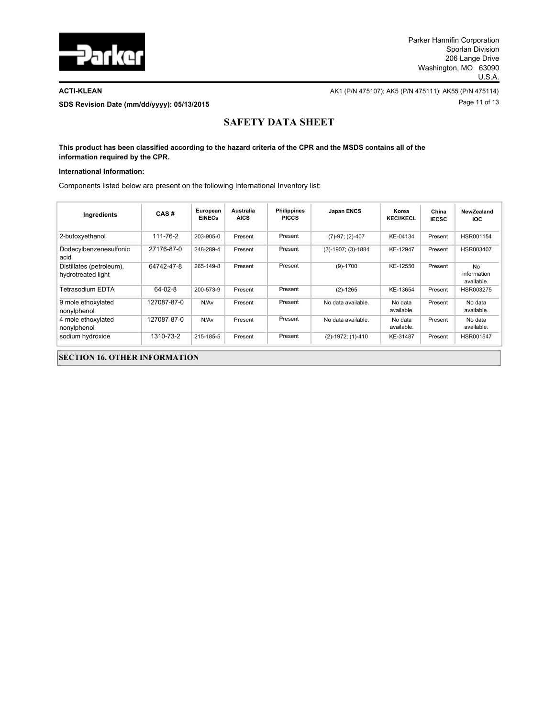

**ACTI-KLEAN** AK1 (P/N 475107); AK5 (P/N 475111); AK55 (P/N 475114) Page 11 of 13 **SDS Revision Date (mm/dd/yyyy): 05/13/2015**

# **SAFETY DATA SHEET**

**This product has been classified according to the hazard criteria of the CPR and the MSDS contains all of the information required by the CPR.**

#### **International Information:**

Components listed below are present on the following International Inventory list:

| Ingredients                                    | CAS#          | European<br><b>EINECs</b> | Australia<br><b>AICS</b> | <b>Philippines</b><br><b>PICCS</b> | Japan ENCS           | Korea<br><b>KECI/KECL</b> | China<br><b>IECSC</b> | NewZealand<br><b>IOC</b>        |  |  |
|------------------------------------------------|---------------|---------------------------|--------------------------|------------------------------------|----------------------|---------------------------|-----------------------|---------------------------------|--|--|
| 2-butoxyethanol                                | 111-76-2      | 203-905-0                 | Present                  | Present                            | $(7)-97; (2)-407$    | KE-04134                  | Present               | HSR001154                       |  |  |
| Dodecylbenzenesulfonic<br>acid                 | 27176-87-0    | 248-289-4                 | Present                  | Present                            | $(3)-1907; (3)-1884$ | KE-12947                  | Present               | HSR003407                       |  |  |
| Distillates (petroleum),<br>hydrotreated light | 64742-47-8    | 265-149-8                 | Present                  | Present                            | $(9)-1700$           | KE-12550                  | Present               | No<br>information<br>available. |  |  |
| Tetrasodium EDTA                               | $64 - 02 - 8$ | 200-573-9                 | Present                  | Present                            | $(2)-1265$           | KE-13654                  | Present               | HSR003275                       |  |  |
| 9 mole ethoxylated<br>nonylphenol              | 127087-87-0   | N/Av                      | Present                  | Present                            | No data available.   | No data<br>available.     | Present               | No data<br>available.           |  |  |
| 4 mole ethoxylated<br>nonylphenol              | 127087-87-0   | N/Av                      | Present                  | Present                            | No data available.   | No data<br>available.     | Present               | No data<br>available.           |  |  |
| sodium hydroxide                               | 1310-73-2     | 215-185-5                 | Present                  | Present                            | (2)-1972; (1)-410    | KE-31487                  | Present               | HSR001547                       |  |  |
| <b>SECTION 16. OTHER INFORMATION</b>           |               |                           |                          |                                    |                      |                           |                       |                                 |  |  |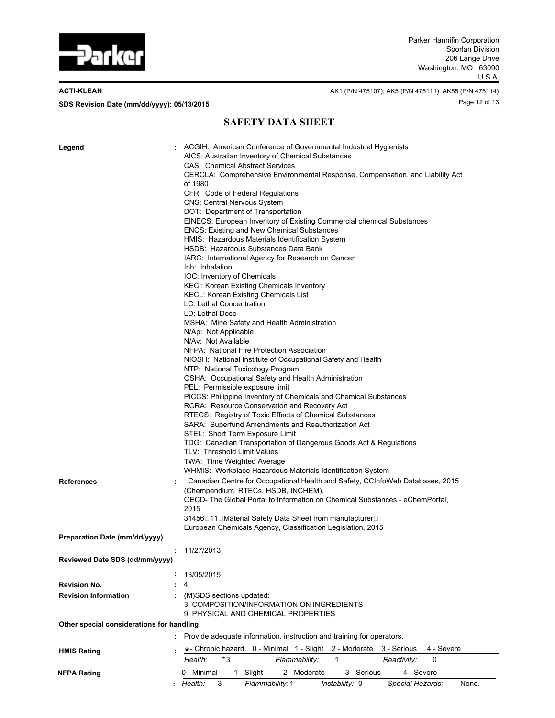

**ACTI-KLEAN** AK1 (P/N 475107); AK5 (P/N 475111); AK55 (P/N 475114) Page 12 of 13 **SDS Revision Date (mm/dd/yyyy): 05/13/2015**

## **SAFETY DATA SHEET**

| Legend                                    | ACGIH: American Conference of Governmental Industrial Hygienists<br>AICS: Australian Inventory of Chemical Substances<br><b>CAS: Chemical Abstract Services</b><br>CERCLA: Comprehensive Environmental Response, Compensation, and Liability Act<br>of 1980<br>CFR: Code of Federal Regulations<br><b>CNS: Central Nervous System</b><br>DOT: Department of Transportation<br>EINECS: European Inventory of Existing Commercial chemical Substances<br><b>ENCS: Existing and New Chemical Substances</b><br>HMIS: Hazardous Materials Identification System<br>HSDB: Hazardous Substances Data Bank<br>IARC: International Agency for Research on Cancer<br>Inh: Inhalation<br>IOC: Inventory of Chemicals<br><b>KECI: Korean Existing Chemicals Inventory</b><br><b>KECL: Korean Existing Chemicals List</b><br>LC: Lethal Concentration<br>LD: Lethal Dose<br>MSHA: Mine Safety and Health Administration<br>N/Ap: Not Applicable<br>N/Av: Not Available<br>NFPA: National Fire Protection Association<br>NIOSH: National Institute of Occupational Safety and Health<br>NTP: National Toxicology Program<br>OSHA: Occupational Safety and Health Administration<br>PEL: Permissible exposure limit<br>PICCS: Philippine Inventory of Chemicals and Chemical Substances<br>RCRA: Resource Conservation and Recovery Act<br>RTECS: Registry of Toxic Effects of Chemical Substances<br>SARA: Superfund Amendments and Reauthorization Act<br>STEL: Short Term Exposure Limit<br>TDG: Canadian Transportation of Dangerous Goods Act & Regulations<br>TLV: Threshold Limit Values<br>TWA: Time Weighted Average<br>WHMIS: Workplace Hazardous Materials Identification System |
|-------------------------------------------|-------------------------------------------------------------------------------------------------------------------------------------------------------------------------------------------------------------------------------------------------------------------------------------------------------------------------------------------------------------------------------------------------------------------------------------------------------------------------------------------------------------------------------------------------------------------------------------------------------------------------------------------------------------------------------------------------------------------------------------------------------------------------------------------------------------------------------------------------------------------------------------------------------------------------------------------------------------------------------------------------------------------------------------------------------------------------------------------------------------------------------------------------------------------------------------------------------------------------------------------------------------------------------------------------------------------------------------------------------------------------------------------------------------------------------------------------------------------------------------------------------------------------------------------------------------------------------------------------------------------------------------------------------------------------------|
| <b>References</b>                         | Canadian Centre for Occupational Health and Safety, CCInfoWeb Databases, 2015<br>÷<br>(Chempendium, RTECs, HSDB, INCHEM).<br>OECD- The Global Portal to Information on Chemical Substances - eChemPortal,<br>2015<br>31456□11□Material Safety Data Sheet from manufacturer□<br>European Chemicals Agency, Classification Legislation, 2015                                                                                                                                                                                                                                                                                                                                                                                                                                                                                                                                                                                                                                                                                                                                                                                                                                                                                                                                                                                                                                                                                                                                                                                                                                                                                                                                    |
| Preparation Date (mm/dd/yyyy)             |                                                                                                                                                                                                                                                                                                                                                                                                                                                                                                                                                                                                                                                                                                                                                                                                                                                                                                                                                                                                                                                                                                                                                                                                                                                                                                                                                                                                                                                                                                                                                                                                                                                                               |
| Reviewed Date SDS (dd/mm/yyyy)            | 11/27/2013                                                                                                                                                                                                                                                                                                                                                                                                                                                                                                                                                                                                                                                                                                                                                                                                                                                                                                                                                                                                                                                                                                                                                                                                                                                                                                                                                                                                                                                                                                                                                                                                                                                                    |
|                                           |                                                                                                                                                                                                                                                                                                                                                                                                                                                                                                                                                                                                                                                                                                                                                                                                                                                                                                                                                                                                                                                                                                                                                                                                                                                                                                                                                                                                                                                                                                                                                                                                                                                                               |
|                                           | 13/05/2015<br>4                                                                                                                                                                                                                                                                                                                                                                                                                                                                                                                                                                                                                                                                                                                                                                                                                                                                                                                                                                                                                                                                                                                                                                                                                                                                                                                                                                                                                                                                                                                                                                                                                                                               |
| <b>Revision No.</b>                       |                                                                                                                                                                                                                                                                                                                                                                                                                                                                                                                                                                                                                                                                                                                                                                                                                                                                                                                                                                                                                                                                                                                                                                                                                                                                                                                                                                                                                                                                                                                                                                                                                                                                               |
| <b>Revision Information</b>               | : (M)SDS sections updated:<br>3. COMPOSITION/INFORMATION ON INGREDIENTS<br>9. PHYSICAL AND CHEMICAL PROPERTIES                                                                                                                                                                                                                                                                                                                                                                                                                                                                                                                                                                                                                                                                                                                                                                                                                                                                                                                                                                                                                                                                                                                                                                                                                                                                                                                                                                                                                                                                                                                                                                |
| Other special considerations for handling |                                                                                                                                                                                                                                                                                                                                                                                                                                                                                                                                                                                                                                                                                                                                                                                                                                                                                                                                                                                                                                                                                                                                                                                                                                                                                                                                                                                                                                                                                                                                                                                                                                                                               |
|                                           | : Provide adequate information, instruction and training for operators.                                                                                                                                                                                                                                                                                                                                                                                                                                                                                                                                                                                                                                                                                                                                                                                                                                                                                                                                                                                                                                                                                                                                                                                                                                                                                                                                                                                                                                                                                                                                                                                                       |
|                                           | *- Chronic hazard 0 - Minimal 1 - Slight 2 - Moderate<br>3 - Serious<br>4 - Severe                                                                                                                                                                                                                                                                                                                                                                                                                                                                                                                                                                                                                                                                                                                                                                                                                                                                                                                                                                                                                                                                                                                                                                                                                                                                                                                                                                                                                                                                                                                                                                                            |
| <b>HMIS Rating</b>                        | *3<br>Health:<br>Flammability:<br>1<br>Reactivity:<br>0                                                                                                                                                                                                                                                                                                                                                                                                                                                                                                                                                                                                                                                                                                                                                                                                                                                                                                                                                                                                                                                                                                                                                                                                                                                                                                                                                                                                                                                                                                                                                                                                                       |
|                                           | 0 - Minimal<br>1 - Slight<br>3 - Serious<br>4 - Severe<br>2 - Moderate                                                                                                                                                                                                                                                                                                                                                                                                                                                                                                                                                                                                                                                                                                                                                                                                                                                                                                                                                                                                                                                                                                                                                                                                                                                                                                                                                                                                                                                                                                                                                                                                        |
| NFPA Rating                               | Health:<br>Flammability: 1<br>Instability: 0<br>Special Hazards:<br>3<br>None.                                                                                                                                                                                                                                                                                                                                                                                                                                                                                                                                                                                                                                                                                                                                                                                                                                                                                                                                                                                                                                                                                                                                                                                                                                                                                                                                                                                                                                                                                                                                                                                                |
|                                           |                                                                                                                                                                                                                                                                                                                                                                                                                                                                                                                                                                                                                                                                                                                                                                                                                                                                                                                                                                                                                                                                                                                                                                                                                                                                                                                                                                                                                                                                                                                                                                                                                                                                               |